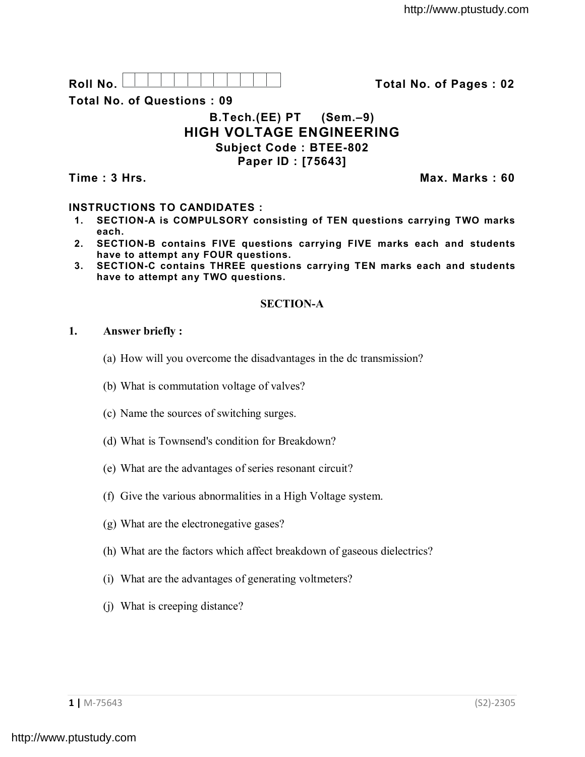

**Total No. of Questions : 09**

# **B.Tech.(EE) PT (Sem.–9) HIGH VOLTAGE ENGINEERING Subject Code : BTEE-802 Paper ID : [75643]**

**Time : 3 Hrs. Max. Marks : 60**

## **INSTRUCTIONS TO CANDIDATES :**

- **1. SECTION-A is COMPULSORY consisting of TEN questions carrying TWO marks each.**
- **2. SECTION-B contains FIVE questions carrying FIVE marks each and students have to attempt any FOUR questions.**
- **3. SECTION-C contains THREE questions carrying TEN marks each and students have to attempt any TWO questions.**

## **SECTION-A**

#### **1. Answer briefly :**

- (a) How will you overcome the disadvantages in the dc transmission?
- (b) What is commutation voltage of valves?
- (c) Name the sources of switching surges.
- (d) What is Townsend's condition for Breakdown?
- (e) What are the advantages of series resonant circuit?
- (f) Give the various abnormalities in a High Voltage system.
- (g) What are the electronegative gases?
- (h) What are the factors which affect breakdown of gaseous dielectrics?
- (i) What are the advantages of generating voltmeters?
- (j) What is creeping distance?